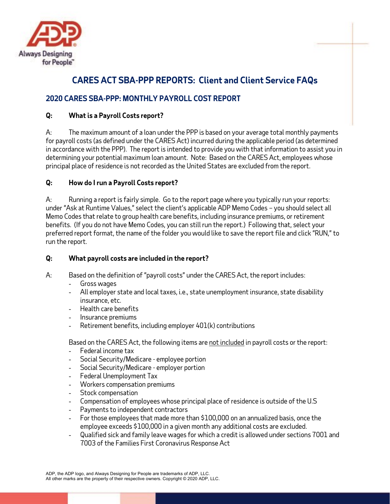

# **CARES ACT SBA-PPP REPORTS: Client and Client Service FAQs**

## **2020 CARES SBA-PPP: MONTHLY PAYROLL COST REPORT**

## **Q: What is a Payroll Costs report?**

A: The maximum amount of a loan under the PPP is based on your average total monthly payments for payroll costs (as defined under the CARES Act) incurred during the applicable period (as determined in accordance with the PPP). The report is intended to provide you with that information to assist you in determining your potential maximum loan amount. Note: Based on the CARES Act, employees whose principal place of residence is not recorded as the United States are excluded from the report.

## **Q: How do I run a Payroll Costs report?**

A: Running a report is fairly simple. Go to the report page where you typically run your reports: under "Ask at Runtime Values," select the client's applicable ADP Memo Codes – you should select all Memo Codes that relate to group health care benefits, including insurance premiums, or retirement benefits. (If you do not have Memo Codes, you can still run the report.) Following that, select your preferred report format, the name of the folder you would like to save the report file and click "RUN," to run the report.

## **Q: What payroll costs are included in the report?**

- A: Based on the definition of "payroll costs" under the CARES Act, the report includes:
	- Gross wages
	- All employer state and local taxes, i.e., state unemployment insurance, state disability insurance, etc.
	- Health care benefits
	- Insurance premiums
	- Retirement benefits, including employer 401(k) contributions

Based on the CARES Act, the following items are not included in payroll costs or the report:

- Federal income tax
- Social Security/Medicare employee portion
- Social Security/Medicare employer portion
- Federal Unemployment Tax
- Workers compensation premiums
- Stock compensation
- Compensation of employees whose principal place of residence is outside of the U.S
- Payments to independent contractors
- For those employees that made more than \$100,000 on an annualized basis, once the employee exceeds \$100,000 in a given month any additional costs are excluded.
- Qualified sick and family leave wages for which a credit is allowed under sections 7001 and 7003 of the Families First Coronavirus Response Act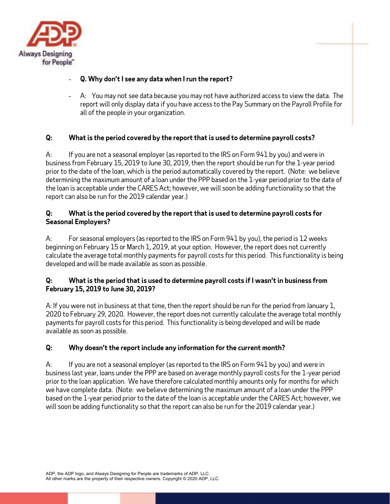

## - **Q. Why don't I see any data when I run the report?**

- A: You may not see data because you may not have authorized access to view the data. The report will only display data if you have access to the Pay Summary on the Payroll Profile for all of the people in your organization.

## **Q: What is the period covered by the report that is used to determine payroll costs?**

A: If you are not a seasonal employer (as reported to the IRS on Form 941 by you) and were in business from February 15, 2019 to June 30, 2019, then the report should be run for the 1-year period prior to the date of the loan, which is the period automatically covered by the report. (Note: we believe determining the maximum amount of a loan under the PPP based on the 1-year period prior to the date of the loan is acceptable under the CARES Act; however, we will soon be adding functionality so that the report can also be run for the 2019 calendar year.)

#### **Q: What is the period covered by the report that is used to determine payroll costs for Seasonal Employers?**

A: For seasonal employers (as reported to the IRS on Form 941 by you), the period is 12 weeks beginning on February 15 or March 1, 2019, at your option. However, the report does not currently calculate the average total monthly payments for payroll costs for this period. This functionality is being developed and will be made available as soon as possible.

## **Q: What is the period that is used to determine payroll costs if I wasn't in business from February 15, 2019 to June 30, 2019?**

A: If you were not in business at that time, then the report should be run for the period from January 1, 2020 to February 29, 2020. However, the report does not currently calculate the average total monthly payments for payroll costs for this period. This functionality is being developed and will be made available as soon as possible.

## **Q: Why doesn't the report include any information for the current month?**

A: If you are not a seasonal employer (as reported to the IRS on Form 941 by you) and were in business last year, loans under the PPP are based on average monthly payroll costs for the 1-year period prior to the loan application. We have therefore calculated monthly amounts only for months for which we have complete data. (Note: we believe determining the maximum amount of a loan under the PPP based on the 1-year period prior to the date of the loan is acceptable under the CARES Act; however, we will soon be adding functionality so that the report can also be run for the 2019 calendar year.)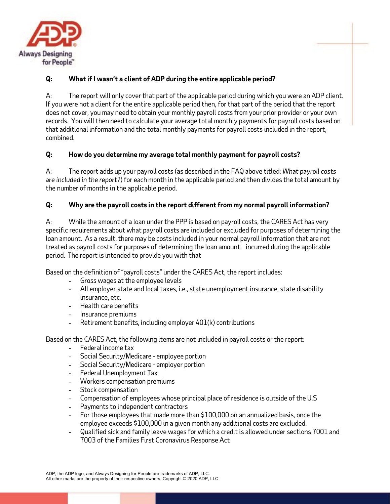

## **Q: What if I wasn't a client of ADP during the entire applicable period?**

A: The report will only cover that part of the applicable period during which you were an ADP client. If you were not a client for the entire applicable period then, for that part of the period that the report does not cover, you may need to obtain your monthly payroll costs from your prior provider or your own records. You will then need to calculate your average total monthly payments for payroll costs based on that additional information and the total monthly payments for payroll costs included in the report, combined.

## **Q: How do you determine my average total monthly payment for payroll costs?**

A: The report adds up your payroll costs (as described in the FAQ above titled: *What payroll costs are included in the report?*) for each month in the applicable period and then divides the total amount by the number of months in the applicable period.

#### **Q: Why are the payroll costs in the report different from my normal payroll information?**

A: While the amount of a loan under the PPP is based on payroll costs, the CARES Act has very specific requirements about what payroll costs are included or excluded for purposes of determining the loan amount. As a result, there may be costs included in your normal payroll information that are not treated as payroll costs for purposes of determining the loan amount. incurred during the applicable period. The report is intended to provide you with that

Based on the definition of "payroll costs" under the CARES Act, the report includes:

- Gross wages at the employee levels
- All employer state and local taxes, i.e., state unemployment insurance, state disability insurance, etc.
- Health care benefits
- Insurance premiums
- Retirement benefits, including employer 401(k) contributions

Based on the CARES Act, the following items are not included in payroll costs or the report:

- Federal income tax
- Social Security/Medicare employee portion
- Social Security/Medicare employer portion
- Federal Unemployment Tax
- Workers compensation premiums
- Stock compensation
- Compensation of employees whose principal place of residence is outside of the U.S
- Payments to independent contractors
- For those employees that made more than \$100,000 on an annualized basis, once the employee exceeds \$100,000 in a given month any additional costs are excluded.
- Qualified sick and family leave wages for which a credit is allowed under sections 7001 and 7003 of the Families First Coronavirus Response Act